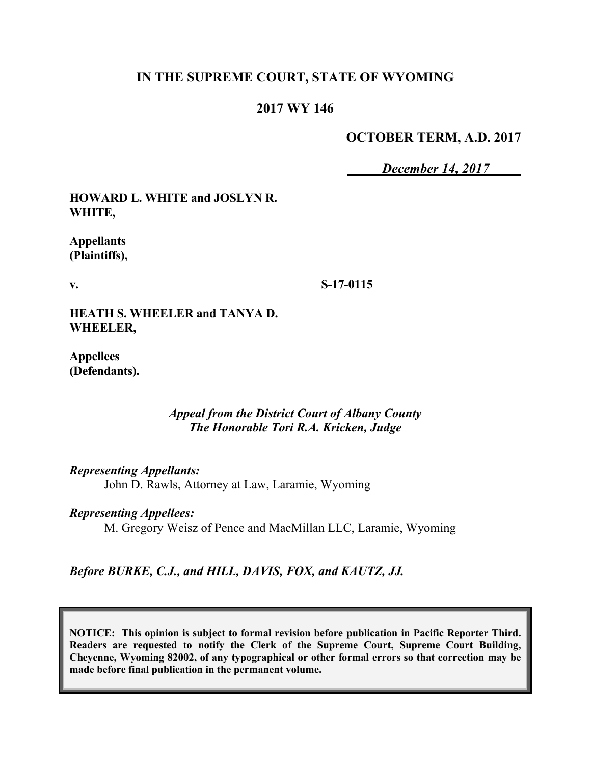## **IN THE SUPREME COURT, STATE OF WYOMING**

## **2017 WY 146**

### **OCTOBER TERM, A.D. 2017**

*December 14, 2017*

**HOWARD L. WHITE and JOSLYN R. WHITE,**

**Appellants (Plaintiffs),**

**v.**

**S-17-0115**

**HEATH S. WHEELER and TANYA D. WHEELER,**

**Appellees (Defendants).**

> *Appeal from the District Court of Albany County The Honorable Tori R.A. Kricken, Judge*

*Representing Appellants:*

John D. Rawls, Attorney at Law, Laramie, Wyoming

### *Representing Appellees:*

M. Gregory Weisz of Pence and MacMillan LLC, Laramie, Wyoming

*Before BURKE, C.J., and HILL, DAVIS, FOX, and KAUTZ, JJ.*

**NOTICE: This opinion is subject to formal revision before publication in Pacific Reporter Third. Readers are requested to notify the Clerk of the Supreme Court, Supreme Court Building, Cheyenne, Wyoming 82002, of any typographical or other formal errors so that correction may be made before final publication in the permanent volume.**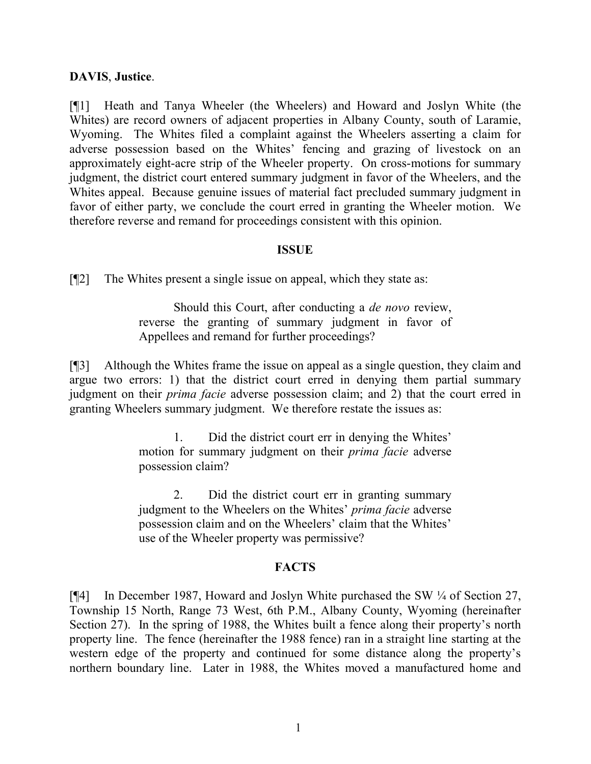### **DAVIS**, **Justice**.

[¶1] Heath and Tanya Wheeler (the Wheelers) and Howard and Joslyn White (the Whites) are record owners of adjacent properties in Albany County, south of Laramie, Wyoming. The Whites filed a complaint against the Wheelers asserting a claim for adverse possession based on the Whites' fencing and grazing of livestock on an approximately eight-acre strip of the Wheeler property. On cross-motions for summary judgment, the district court entered summary judgment in favor of the Wheelers, and the Whites appeal. Because genuine issues of material fact precluded summary judgment in favor of either party, we conclude the court erred in granting the Wheeler motion. We therefore reverse and remand for proceedings consistent with this opinion.

### **ISSUE**

[¶2] The Whites present a single issue on appeal, which they state as:

Should this Court, after conducting a *de novo* review, reverse the granting of summary judgment in favor of Appellees and remand for further proceedings?

[¶3] Although the Whites frame the issue on appeal as a single question, they claim and argue two errors: 1) that the district court erred in denying them partial summary judgment on their *prima facie* adverse possession claim; and 2) that the court erred in granting Wheelers summary judgment. We therefore restate the issues as:

> 1. Did the district court err in denying the Whites' motion for summary judgment on their *prima facie* adverse possession claim?

> 2. Did the district court err in granting summary judgment to the Wheelers on the Whites' *prima facie* adverse possession claim and on the Wheelers' claim that the Whites' use of the Wheeler property was permissive?

### **FACTS**

[¶4] In December 1987, Howard and Joslyn White purchased the SW ¼ of Section 27, Township 15 North, Range 73 West, 6th P.M., Albany County, Wyoming (hereinafter Section 27). In the spring of 1988, the Whites built a fence along their property's north property line. The fence (hereinafter the 1988 fence) ran in a straight line starting at the western edge of the property and continued for some distance along the property's northern boundary line. Later in 1988, the Whites moved a manufactured home and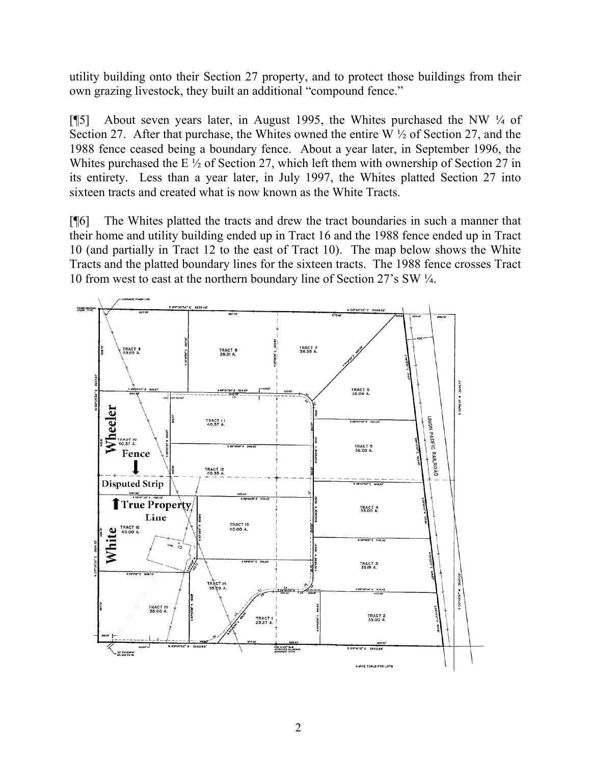utility building onto their Section 27 property, and to protect those buildings from their own grazing livestock, they built an additional "compound fence."

[¶5] About seven years later, in August 1995, the Whites purchased the NW ¼ of Section 27. After that purchase, the Whites owned the entire W  $\frac{1}{2}$  of Section 27, and the 1988 fence ceased being a boundary fence. About a year later, in September 1996, the Whites purchased the E  $\frac{1}{2}$  of Section 27, which left them with ownership of Section 27 in its entirety. Less than a year later, in July 1997, the Whites platted Section 27 into sixteen tracts and created what is now known as the White Tracts.

[¶6] The Whites platted the tracts and drew the tract boundaries in such a manner that their home and utility building ended up in Tract 16 and the 1988 fence ended up in Tract 10 (and partially in Tract 12 to the east of Tract 10). The map below shows the White Tracts and the platted boundary lines for the sixteen tracts. The 1988 fence crosses Tract 10 from west to east at the northern boundary line of Section 27's SW ¼.

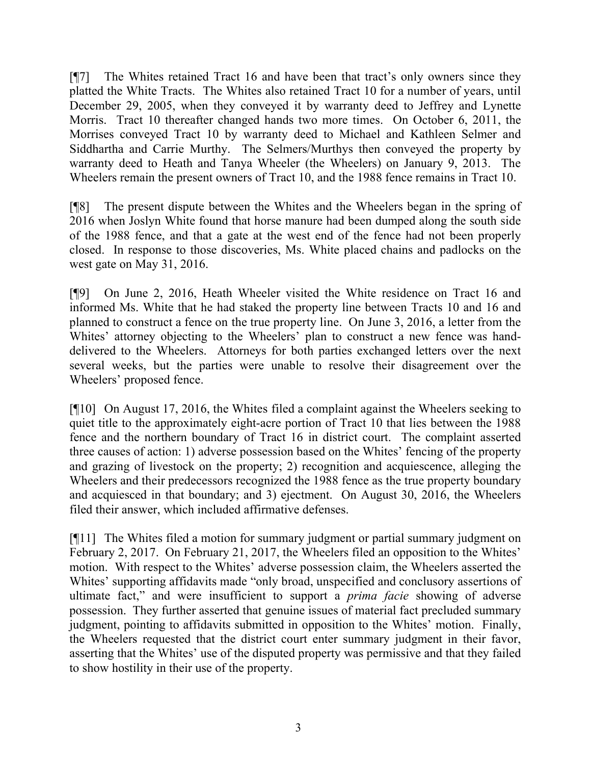[¶7] The Whites retained Tract 16 and have been that tract's only owners since they platted the White Tracts. The Whites also retained Tract 10 for a number of years, until December 29, 2005, when they conveyed it by warranty deed to Jeffrey and Lynette Morris. Tract 10 thereafter changed hands two more times. On October 6, 2011, the Morrises conveyed Tract 10 by warranty deed to Michael and Kathleen Selmer and Siddhartha and Carrie Murthy. The Selmers/Murthys then conveyed the property by warranty deed to Heath and Tanya Wheeler (the Wheelers) on January 9, 2013. The Wheelers remain the present owners of Tract 10, and the 1988 fence remains in Tract 10.

[¶8] The present dispute between the Whites and the Wheelers began in the spring of 2016 when Joslyn White found that horse manure had been dumped along the south side of the 1988 fence, and that a gate at the west end of the fence had not been properly closed. In response to those discoveries, Ms. White placed chains and padlocks on the west gate on May 31, 2016.

[¶9] On June 2, 2016, Heath Wheeler visited the White residence on Tract 16 and informed Ms. White that he had staked the property line between Tracts 10 and 16 and planned to construct a fence on the true property line. On June 3, 2016, a letter from the Whites' attorney objecting to the Wheelers' plan to construct a new fence was handdelivered to the Wheelers. Attorneys for both parties exchanged letters over the next several weeks, but the parties were unable to resolve their disagreement over the Wheelers' proposed fence.

[¶10] On August 17, 2016, the Whites filed a complaint against the Wheelers seeking to quiet title to the approximately eight-acre portion of Tract 10 that lies between the 1988 fence and the northern boundary of Tract 16 in district court. The complaint asserted three causes of action: 1) adverse possession based on the Whites' fencing of the property and grazing of livestock on the property; 2) recognition and acquiescence, alleging the Wheelers and their predecessors recognized the 1988 fence as the true property boundary and acquiesced in that boundary; and 3) ejectment. On August 30, 2016, the Wheelers filed their answer, which included affirmative defenses.

[¶11] The Whites filed a motion for summary judgment or partial summary judgment on February 2, 2017. On February 21, 2017, the Wheelers filed an opposition to the Whites' motion. With respect to the Whites' adverse possession claim, the Wheelers asserted the Whites' supporting affidavits made "only broad, unspecified and conclusory assertions of ultimate fact," and were insufficient to support a *prima facie* showing of adverse possession. They further asserted that genuine issues of material fact precluded summary judgment, pointing to affidavits submitted in opposition to the Whites' motion. Finally, the Wheelers requested that the district court enter summary judgment in their favor, asserting that the Whites' use of the disputed property was permissive and that they failed to show hostility in their use of the property.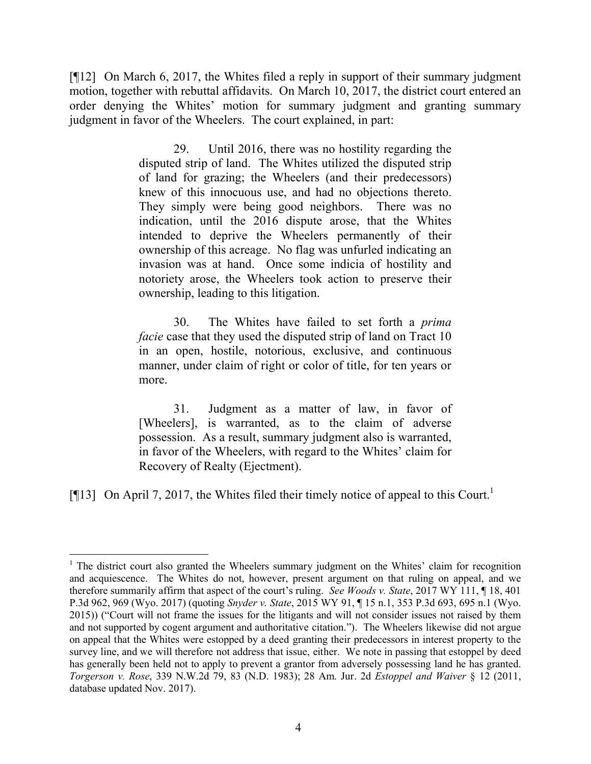[¶12] On March 6, 2017, the Whites filed a reply in support of their summary judgment motion, together with rebuttal affidavits. On March 10, 2017, the district court entered an order denying the Whites' motion for summary judgment and granting summary judgment in favor of the Wheelers. The court explained, in part:

> 29. Until 2016, there was no hostility regarding the disputed strip of land. The Whites utilized the disputed strip of land for grazing; the Wheelers (and their predecessors) knew of this innocuous use, and had no objections thereto. They simply were being good neighbors. There was no indication, until the 2016 dispute arose, that the Whites intended to deprive the Wheelers permanently of their ownership of this acreage. No flag was unfurled indicating an invasion was at hand. Once some indicia of hostility and notoriety arose, the Wheelers took action to preserve their ownership, leading to this litigation.

> 30. The Whites have failed to set forth a *prima facie* case that they used the disputed strip of land on Tract 10 in an open, hostile, notorious, exclusive, and continuous manner, under claim of right or color of title, for ten years or more.

> 31. Judgment as a matter of law, in favor of [Wheelers], is warranted, as to the claim of adverse possession. As a result, summary judgment also is warranted, in favor of the Wheelers, with regard to the Whites' claim for Recovery of Realty (Ejectment).

[ $[$ [13] On April 7, 2017, the Whites filed their timely notice of appeal to this Court.<sup>1</sup>

<sup>&</sup>lt;sup>1</sup> The district court also granted the Wheelers summary judgment on the Whites' claim for recognition and acquiescence. The Whites do not, however, present argument on that ruling on appeal, and we therefore summarily affirm that aspect of the court's ruling. *See Woods v. State*, 2017 WY 111, ¶ 18, 401 P.3d 962, 969 (Wyo. 2017) (quoting *Snyder v. State*, 2015 WY 91, ¶ 15 n.1, 353 P.3d 693, 695 n.1 (Wyo. 2015)) ("Court will not frame the issues for the litigants and will not consider issues not raised by them and not supported by cogent argument and authoritative citation."). The Wheelers likewise did not argue on appeal that the Whites were estopped by a deed granting their predecessors in interest property to the survey line, and we will therefore not address that issue, either. We note in passing that estoppel by deed has generally been held not to apply to prevent a grantor from adversely possessing land he has granted. *Torgerson v. Rose*, 339 N.W.2d 79, 83 (N.D. 1983); 28 Am. Jur. 2d *Estoppel and Waiver* § 12 (2011, database updated Nov. 2017).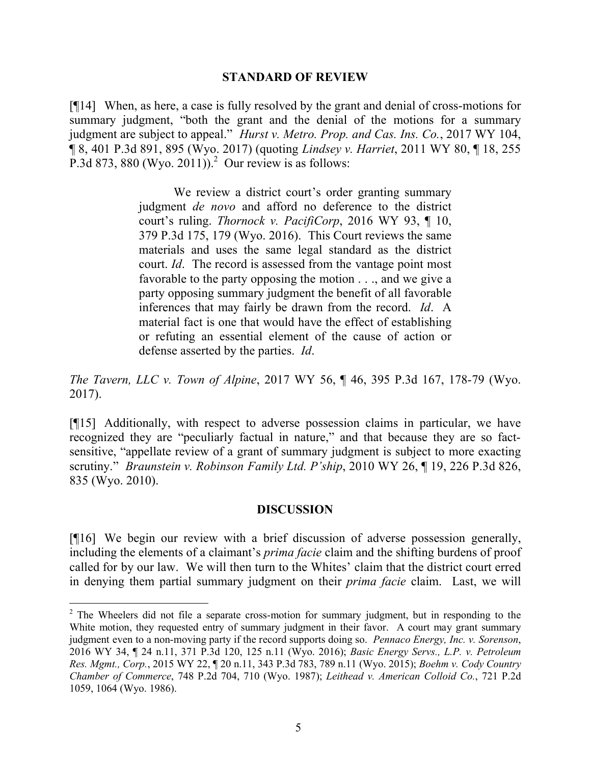#### **STANDARD OF REVIEW**

[¶14] When, as here, a case is fully resolved by the grant and denial of cross-motions for summary judgment, "both the grant and the denial of the motions for a summary judgment are subject to appeal." *Hurst v. Metro. Prop. and Cas. Ins. Co.*, 2017 WY 104, ¶ 8, 401 P.3d 891, 895 (Wyo. 2017) (quoting *Lindsey v. Harriet*, 2011 WY 80, ¶ 18, 255 P.3d 873, 880 (Wyo. 2011)).<sup>2</sup> Our review is as follows:

> We review a district court's order granting summary judgment *de novo* and afford no deference to the district court's ruling. *Thornock v. PacifiCorp*, 2016 WY 93, ¶ 10, 379 P.3d 175, 179 (Wyo. 2016). This Court reviews the same materials and uses the same legal standard as the district court. *Id*. The record is assessed from the vantage point most favorable to the party opposing the motion . . ., and we give a party opposing summary judgment the benefit of all favorable inferences that may fairly be drawn from the record. *Id*. A material fact is one that would have the effect of establishing or refuting an essential element of the cause of action or defense asserted by the parties. *Id*.

*The Tavern, LLC v. Town of Alpine*, 2017 WY 56, ¶ 46, 395 P.3d 167, 178-79 (Wyo. 2017).

[¶15] Additionally, with respect to adverse possession claims in particular, we have recognized they are "peculiarly factual in nature," and that because they are so factsensitive, "appellate review of a grant of summary judgment is subject to more exacting scrutiny." *Braunstein v. Robinson Family Ltd. P'ship*, 2010 WY 26, ¶ 19, 226 P.3d 826, 835 (Wyo. 2010).

### **DISCUSSION**

[¶16] We begin our review with a brief discussion of adverse possession generally, including the elements of a claimant's *prima facie* claim and the shifting burdens of proof called for by our law. We will then turn to the Whites' claim that the district court erred in denying them partial summary judgment on their *prima facie* claim. Last, we will

l

<sup>&</sup>lt;sup>2</sup> The Wheelers did not file a separate cross-motion for summary judgment, but in responding to the White motion, they requested entry of summary judgment in their favor. A court may grant summary judgment even to a non-moving party if the record supports doing so. *Pennaco Energy, Inc. v. Sorenson*, 2016 WY 34, ¶ 24 n.11, 371 P.3d 120, 125 n.11 (Wyo. 2016); *Basic Energy Servs., L.P. v. Petroleum Res. Mgmt., Corp.*, 2015 WY 22, ¶ 20 n.11, 343 P.3d 783, 789 n.11 (Wyo. 2015); *Boehm v. Cody Country Chamber of Commerce*, 748 P.2d 704, 710 (Wyo. 1987); *Leithead v. American Colloid Co.*, 721 P.2d 1059, 1064 (Wyo. 1986).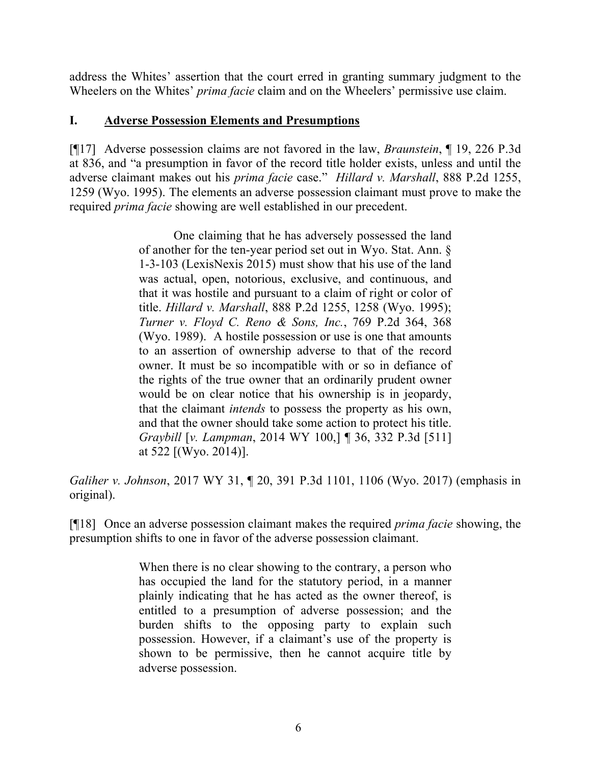address the Whites' assertion that the court erred in granting summary judgment to the Wheelers on the Whites' *prima facie* claim and on the Wheelers' permissive use claim.

## **I. Adverse Possession Elements and Presumptions**

[¶17] Adverse possession claims are not favored in the law, *Braunstein*, ¶ 19, 226 P.3d at 836, and "a presumption in favor of the record title holder exists, unless and until the adverse claimant makes out his *prima facie* case." *Hillard v. Marshall*, 888 P.2d 1255, 1259 (Wyo. 1995). The elements an adverse possession claimant must prove to make the required *prima facie* showing are well established in our precedent.

> One claiming that he has adversely possessed the land of another for the ten-year period set out in Wyo. Stat. Ann. § 1-3-103 (LexisNexis 2015) must show that his use of the land was actual, open, notorious, exclusive, and continuous, and that it was hostile and pursuant to a claim of right or color of title. *Hillard v. Marshall*, 888 P.2d 1255, 1258 (Wyo. 1995); *Turner v. Floyd C. Reno & Sons, Inc.*, 769 P.2d 364, 368 (Wyo. 1989). A hostile possession or use is one that amounts to an assertion of ownership adverse to that of the record owner. It must be so incompatible with or so in defiance of the rights of the true owner that an ordinarily prudent owner would be on clear notice that his ownership is in jeopardy, that the claimant *intends* to possess the property as his own, and that the owner should take some action to protect his title. *Graybill* [*v. Lampman*, 2014 WY 100,] ¶ 36, 332 P.3d [511] at 522 [(Wyo. 2014)].

*Galiher v. Johnson*, 2017 WY 31, ¶ 20, 391 P.3d 1101, 1106 (Wyo. 2017) (emphasis in original).

[¶18] Once an adverse possession claimant makes the required *prima facie* showing, the presumption shifts to one in favor of the adverse possession claimant.

> When there is no clear showing to the contrary, a person who has occupied the land for the statutory period, in a manner plainly indicating that he has acted as the owner thereof, is entitled to a presumption of adverse possession; and the burden shifts to the opposing party to explain such possession. However, if a claimant's use of the property is shown to be permissive, then he cannot acquire title by adverse possession.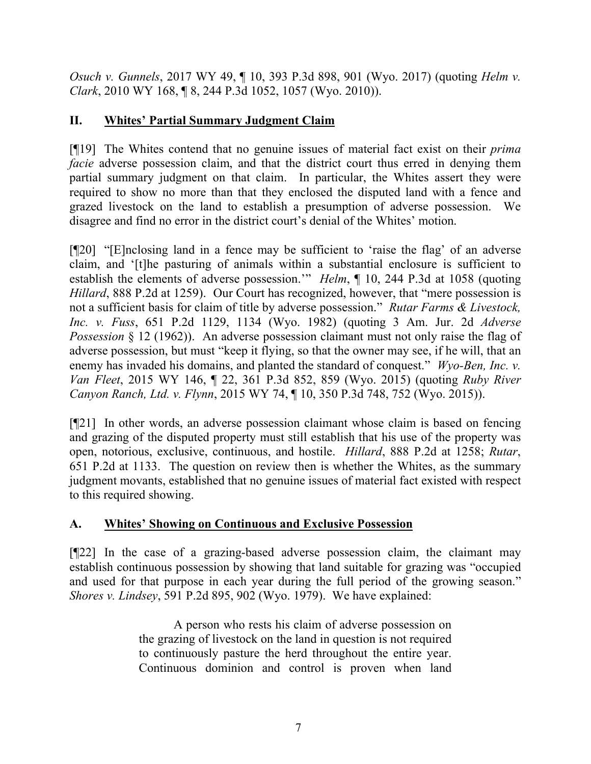*Osuch v. Gunnels*, 2017 WY 49, ¶ 10, 393 P.3d 898, 901 (Wyo. 2017) (quoting *Helm v. Clark*, 2010 WY 168, ¶ 8, 244 P.3d 1052, 1057 (Wyo. 2010)).

# **II. Whites' Partial Summary Judgment Claim**

[¶19] The Whites contend that no genuine issues of material fact exist on their *prima facie* adverse possession claim, and that the district court thus erred in denying them partial summary judgment on that claim. In particular, the Whites assert they were required to show no more than that they enclosed the disputed land with a fence and grazed livestock on the land to establish a presumption of adverse possession. We disagree and find no error in the district court's denial of the Whites' motion.

[¶20] "[E]nclosing land in a fence may be sufficient to 'raise the flag' of an adverse claim, and '[t]he pasturing of animals within a substantial enclosure is sufficient to establish the elements of adverse possession.'" *Helm*, ¶ 10, 244 P.3d at 1058 (quoting *Hillard*, 888 P.2d at 1259). Our Court has recognized, however, that "mere possession is not a sufficient basis for claim of title by adverse possession." *Rutar Farms & Livestock, Inc. v. Fuss*, 651 P.2d 1129, 1134 (Wyo. 1982) (quoting 3 Am. Jur. 2d *Adverse Possession* § 12 (1962)). An adverse possession claimant must not only raise the flag of adverse possession, but must "keep it flying, so that the owner may see, if he will, that an enemy has invaded his domains, and planted the standard of conquest." *Wyo-Ben, Inc. v. Van Fleet*, 2015 WY 146, ¶ 22, 361 P.3d 852, 859 (Wyo. 2015) (quoting *Ruby River Canyon Ranch, Ltd. v. Flynn*, 2015 WY 74, ¶ 10, 350 P.3d 748, 752 (Wyo. 2015)).

[¶21] In other words, an adverse possession claimant whose claim is based on fencing and grazing of the disputed property must still establish that his use of the property was open, notorious, exclusive, continuous, and hostile. *Hillard*, 888 P.2d at 1258; *Rutar*, 651 P.2d at 1133. The question on review then is whether the Whites, as the summary judgment movants, established that no genuine issues of material fact existed with respect to this required showing.

# **A. Whites' Showing on Continuous and Exclusive Possession**

[¶22] In the case of a grazing-based adverse possession claim, the claimant may establish continuous possession by showing that land suitable for grazing was "occupied and used for that purpose in each year during the full period of the growing season." *Shores v. Lindsey*, 591 P.2d 895, 902 (Wyo. 1979). We have explained:

> A person who rests his claim of adverse possession on the grazing of livestock on the land in question is not required to continuously pasture the herd throughout the entire year. Continuous dominion and control is proven when land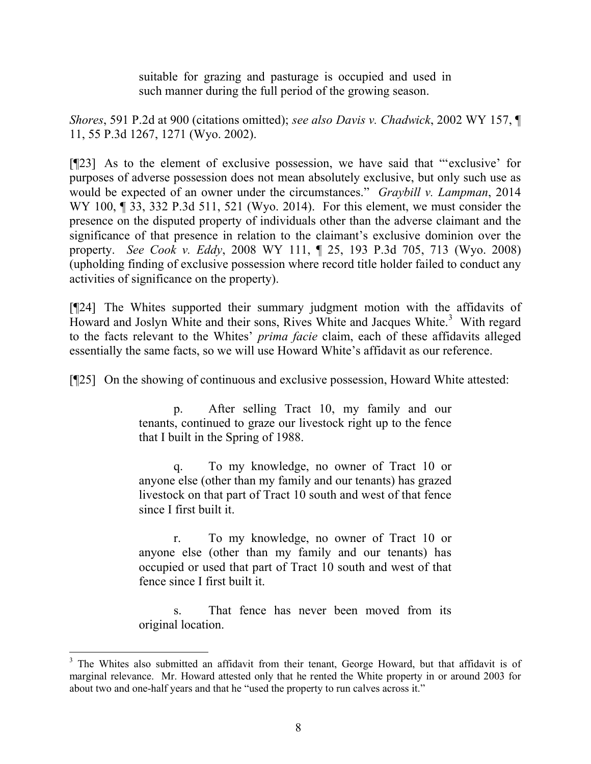suitable for grazing and pasturage is occupied and used in such manner during the full period of the growing season.

*Shores*, 591 P.2d at 900 (citations omitted); *see also Davis v. Chadwick*, 2002 WY 157, ¶ 11, 55 P.3d 1267, 1271 (Wyo. 2002).

[¶23] As to the element of exclusive possession, we have said that "'exclusive' for purposes of adverse possession does not mean absolutely exclusive, but only such use as would be expected of an owner under the circumstances." *Graybill v. Lampman*, 2014 WY 100, ¶ 33, 332 P.3d 511, 521 (Wyo. 2014). For this element, we must consider the presence on the disputed property of individuals other than the adverse claimant and the significance of that presence in relation to the claimant's exclusive dominion over the property. *See Cook v. Eddy*, 2008 WY 111, ¶ 25, 193 P.3d 705, 713 (Wyo. 2008) (upholding finding of exclusive possession where record title holder failed to conduct any activities of significance on the property).

[¶24] The Whites supported their summary judgment motion with the affidavits of Howard and Joslyn White and their sons, Rives White and Jacques White.<sup>3</sup> With regard to the facts relevant to the Whites' *prima facie* claim, each of these affidavits alleged essentially the same facts, so we will use Howard White's affidavit as our reference.

[¶25] On the showing of continuous and exclusive possession, Howard White attested:

p. After selling Tract 10, my family and our tenants, continued to graze our livestock right up to the fence that I built in the Spring of 1988.

q. To my knowledge, no owner of Tract 10 or anyone else (other than my family and our tenants) has grazed livestock on that part of Tract 10 south and west of that fence since I first built it.

r. To my knowledge, no owner of Tract 10 or anyone else (other than my family and our tenants) has occupied or used that part of Tract 10 south and west of that fence since I first built it.

s. That fence has never been moved from its original location.

l

<sup>&</sup>lt;sup>3</sup> The Whites also submitted an affidavit from their tenant, George Howard, but that affidavit is of marginal relevance. Mr. Howard attested only that he rented the White property in or around 2003 for about two and one-half years and that he "used the property to run calves across it."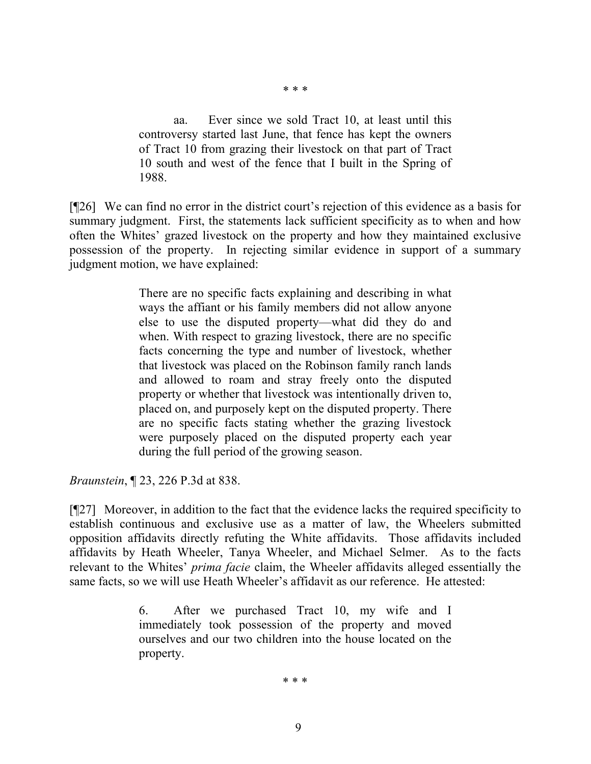aa. Ever since we sold Tract 10, at least until this controversy started last June, that fence has kept the owners of Tract 10 from grazing their livestock on that part of Tract 10 south and west of the fence that I built in the Spring of 1988.

\* \* \*

[¶26] We can find no error in the district court's rejection of this evidence as a basis for summary judgment. First, the statements lack sufficient specificity as to when and how often the Whites' grazed livestock on the property and how they maintained exclusive possession of the property. In rejecting similar evidence in support of a summary judgment motion, we have explained:

> There are no specific facts explaining and describing in what ways the affiant or his family members did not allow anyone else to use the disputed property—what did they do and when. With respect to grazing livestock, there are no specific facts concerning the type and number of livestock, whether that livestock was placed on the Robinson family ranch lands and allowed to roam and stray freely onto the disputed property or whether that livestock was intentionally driven to, placed on, and purposely kept on the disputed property. There are no specific facts stating whether the grazing livestock were purposely placed on the disputed property each year during the full period of the growing season.

*Braunstein*, ¶ 23, 226 P.3d at 838.

[¶27] Moreover, in addition to the fact that the evidence lacks the required specificity to establish continuous and exclusive use as a matter of law, the Wheelers submitted opposition affidavits directly refuting the White affidavits. Those affidavits included affidavits by Heath Wheeler, Tanya Wheeler, and Michael Selmer. As to the facts relevant to the Whites' *prima facie* claim, the Wheeler affidavits alleged essentially the same facts, so we will use Heath Wheeler's affidavit as our reference. He attested:

> 6. After we purchased Tract 10, my wife and I immediately took possession of the property and moved ourselves and our two children into the house located on the property.

> > \* \* \*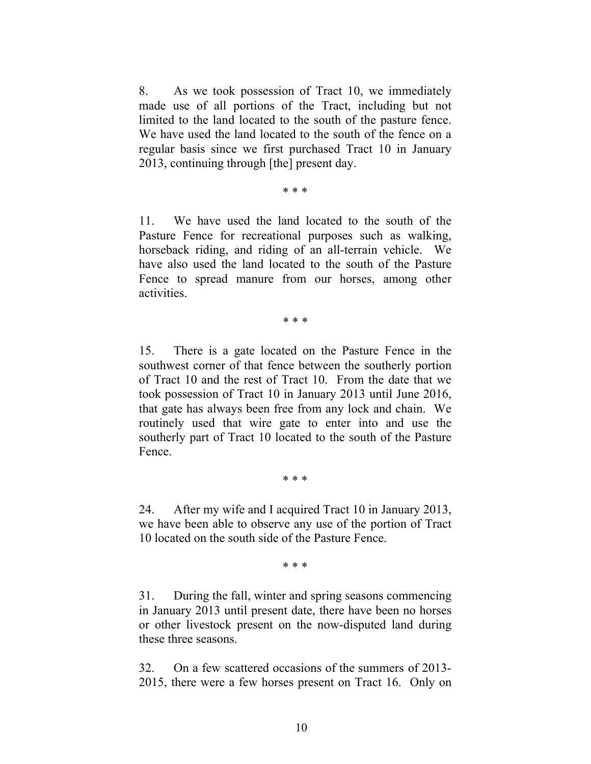8. As we took possession of Tract 10, we immediately made use of all portions of the Tract, including but not limited to the land located to the south of the pasture fence. We have used the land located to the south of the fence on a regular basis since we first purchased Tract 10 in January 2013, continuing through [the] present day.

\* \* \*

11. We have used the land located to the south of the Pasture Fence for recreational purposes such as walking, horseback riding, and riding of an all-terrain vehicle. We have also used the land located to the south of the Pasture Fence to spread manure from our horses, among other activities.

\* \* \*

15. There is a gate located on the Pasture Fence in the southwest corner of that fence between the southerly portion of Tract 10 and the rest of Tract 10. From the date that we took possession of Tract 10 in January 2013 until June 2016, that gate has always been free from any lock and chain. We routinely used that wire gate to enter into and use the southerly part of Tract 10 located to the south of the Pasture Fence.

\* \* \*

24. After my wife and I acquired Tract 10 in January 2013, we have been able to observe any use of the portion of Tract 10 located on the south side of the Pasture Fence.

\* \* \*

31. During the fall, winter and spring seasons commencing in January 2013 until present date, there have been no horses or other livestock present on the now-disputed land during these three seasons.

32. On a few scattered occasions of the summers of 2013- 2015, there were a few horses present on Tract 16. Only on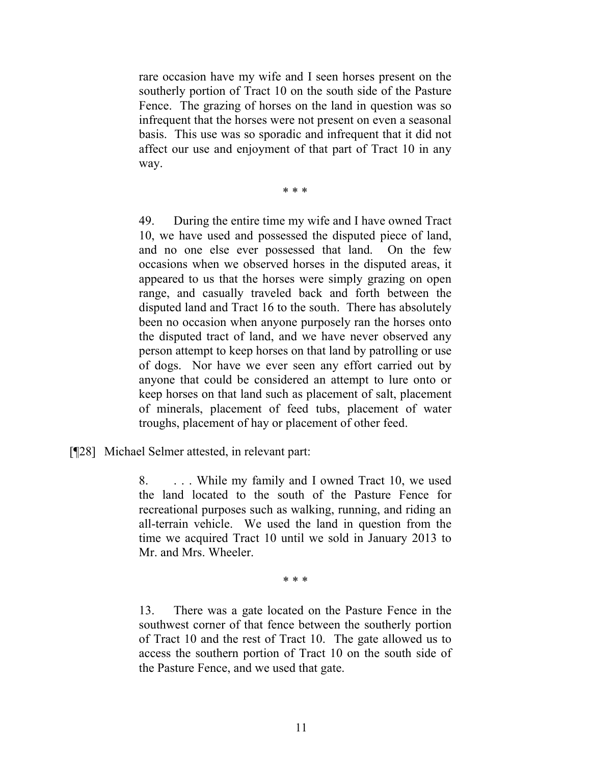rare occasion have my wife and I seen horses present on the southerly portion of Tract 10 on the south side of the Pasture Fence. The grazing of horses on the land in question was so infrequent that the horses were not present on even a seasonal basis. This use was so sporadic and infrequent that it did not affect our use and enjoyment of that part of Tract 10 in any way.

\* \* \*

49. During the entire time my wife and I have owned Tract 10, we have used and possessed the disputed piece of land, and no one else ever possessed that land. On the few occasions when we observed horses in the disputed areas, it appeared to us that the horses were simply grazing on open range, and casually traveled back and forth between the disputed land and Tract 16 to the south. There has absolutely been no occasion when anyone purposely ran the horses onto the disputed tract of land, and we have never observed any person attempt to keep horses on that land by patrolling or use of dogs. Nor have we ever seen any effort carried out by anyone that could be considered an attempt to lure onto or keep horses on that land such as placement of salt, placement of minerals, placement of feed tubs, placement of water troughs, placement of hay or placement of other feed.

[¶28] Michael Selmer attested, in relevant part:

8. . . . While my family and I owned Tract 10, we used the land located to the south of the Pasture Fence for recreational purposes such as walking, running, and riding an all-terrain vehicle. We used the land in question from the time we acquired Tract 10 until we sold in January 2013 to Mr. and Mrs. Wheeler.

\* \* \*

13. There was a gate located on the Pasture Fence in the southwest corner of that fence between the southerly portion of Tract 10 and the rest of Tract 10. The gate allowed us to access the southern portion of Tract 10 on the south side of the Pasture Fence, and we used that gate.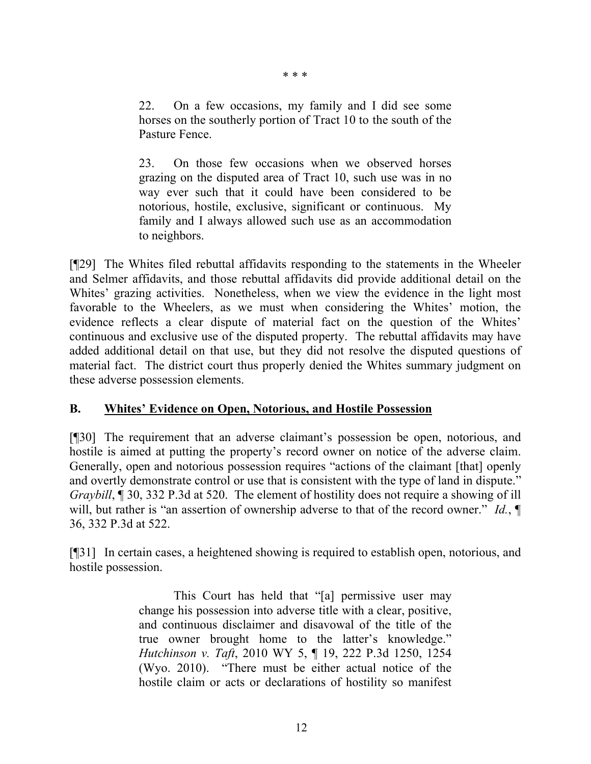22. On a few occasions, my family and I did see some horses on the southerly portion of Tract 10 to the south of the Pasture Fence.

23. On those few occasions when we observed horses grazing on the disputed area of Tract 10, such use was in no way ever such that it could have been considered to be notorious, hostile, exclusive, significant or continuous. My family and I always allowed such use as an accommodation to neighbors.

[¶29] The Whites filed rebuttal affidavits responding to the statements in the Wheeler and Selmer affidavits, and those rebuttal affidavits did provide additional detail on the Whites' grazing activities. Nonetheless, when we view the evidence in the light most favorable to the Wheelers, as we must when considering the Whites' motion, the evidence reflects a clear dispute of material fact on the question of the Whites' continuous and exclusive use of the disputed property. The rebuttal affidavits may have added additional detail on that use, but they did not resolve the disputed questions of material fact. The district court thus properly denied the Whites summary judgment on these adverse possession elements.

## **B. Whites' Evidence on Open, Notorious, and Hostile Possession**

[¶30] The requirement that an adverse claimant's possession be open, notorious, and hostile is aimed at putting the property's record owner on notice of the adverse claim. Generally, open and notorious possession requires "actions of the claimant [that] openly and overtly demonstrate control or use that is consistent with the type of land in dispute." *Graybill*,  $\llbracket 30, 332 \rrbracket$ . 332 P.3d at 520. The element of hostility does not require a showing of ill will, but rather is "an assertion of ownership adverse to that of the record owner." *Id.*,  $\P$ 36, 332 P.3d at 522.

[¶31] In certain cases, a heightened showing is required to establish open, notorious, and hostile possession.

> This Court has held that "[a] permissive user may change his possession into adverse title with a clear, positive, and continuous disclaimer and disavowal of the title of the true owner brought home to the latter's knowledge." *Hutchinson v. Taft*, 2010 WY 5, ¶ 19, 222 P.3d 1250, 1254 (Wyo. 2010). "There must be either actual notice of the hostile claim or acts or declarations of hostility so manifest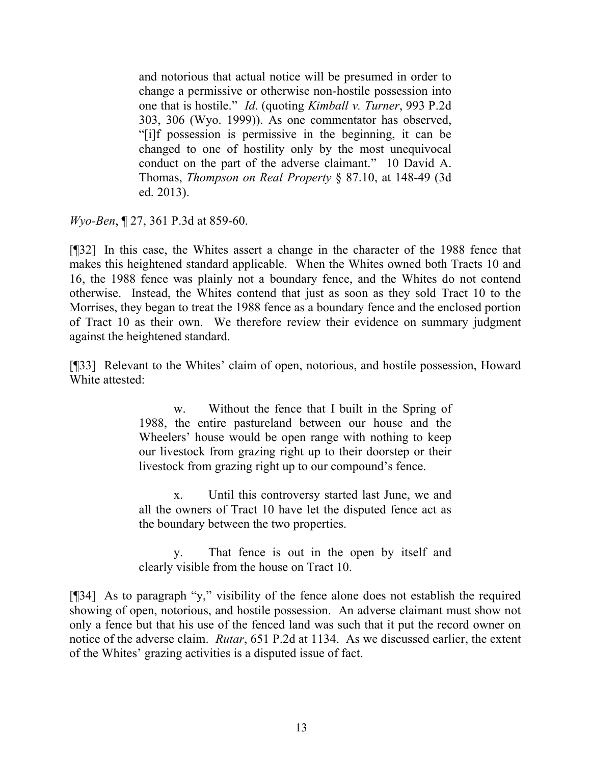and notorious that actual notice will be presumed in order to change a permissive or otherwise non-hostile possession into one that is hostile." *Id*. (quoting *Kimball v. Turner*, 993 P.2d 303, 306 (Wyo. 1999)). As one commentator has observed, "[i]f possession is permissive in the beginning, it can be changed to one of hostility only by the most unequivocal conduct on the part of the adverse claimant." 10 David A. Thomas, *Thompson on Real Property* § 87.10, at 148-49 (3d ed. 2013).

*Wyo-Ben*, ¶ 27, 361 P.3d at 859-60.

[¶32] In this case, the Whites assert a change in the character of the 1988 fence that makes this heightened standard applicable. When the Whites owned both Tracts 10 and 16, the 1988 fence was plainly not a boundary fence, and the Whites do not contend otherwise. Instead, the Whites contend that just as soon as they sold Tract 10 to the Morrises, they began to treat the 1988 fence as a boundary fence and the enclosed portion of Tract 10 as their own. We therefore review their evidence on summary judgment against the heightened standard.

[¶33] Relevant to the Whites' claim of open, notorious, and hostile possession, Howard White attested:

> w. Without the fence that I built in the Spring of 1988, the entire pastureland between our house and the Wheelers' house would be open range with nothing to keep our livestock from grazing right up to their doorstep or their livestock from grazing right up to our compound's fence.

> x. Until this controversy started last June, we and all the owners of Tract 10 have let the disputed fence act as the boundary between the two properties.

> y. That fence is out in the open by itself and clearly visible from the house on Tract 10.

[¶34] As to paragraph "y," visibility of the fence alone does not establish the required showing of open, notorious, and hostile possession. An adverse claimant must show not only a fence but that his use of the fenced land was such that it put the record owner on notice of the adverse claim. *Rutar*, 651 P.2d at 1134. As we discussed earlier, the extent of the Whites' grazing activities is a disputed issue of fact.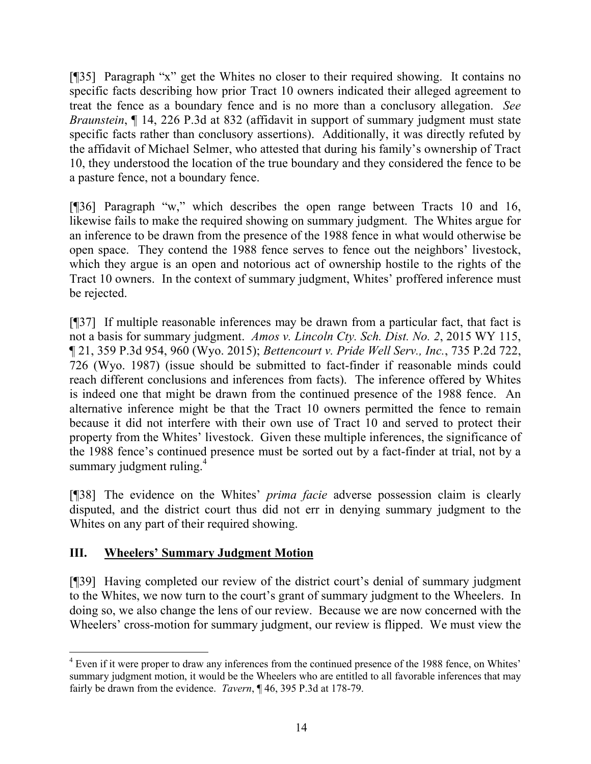[¶35] Paragraph "x" get the Whites no closer to their required showing. It contains no specific facts describing how prior Tract 10 owners indicated their alleged agreement to treat the fence as a boundary fence and is no more than a conclusory allegation. *See Braunstein*, 14, 226 P.3d at 832 (affidavit in support of summary judgment must state specific facts rather than conclusory assertions). Additionally, it was directly refuted by the affidavit of Michael Selmer, who attested that during his family's ownership of Tract 10, they understood the location of the true boundary and they considered the fence to be a pasture fence, not a boundary fence.

[¶36] Paragraph "w," which describes the open range between Tracts 10 and 16, likewise fails to make the required showing on summary judgment. The Whites argue for an inference to be drawn from the presence of the 1988 fence in what would otherwise be open space. They contend the 1988 fence serves to fence out the neighbors' livestock, which they argue is an open and notorious act of ownership hostile to the rights of the Tract 10 owners. In the context of summary judgment, Whites' proffered inference must be rejected.

[¶37] If multiple reasonable inferences may be drawn from a particular fact, that fact is not a basis for summary judgment. *Amos v. Lincoln Cty. Sch. Dist. No. 2*, 2015 WY 115, ¶ 21, 359 P.3d 954, 960 (Wyo. 2015); *Bettencourt v. Pride Well Serv., Inc.*, 735 P.2d 722, 726 (Wyo. 1987) (issue should be submitted to fact-finder if reasonable minds could reach different conclusions and inferences from facts). The inference offered by Whites is indeed one that might be drawn from the continued presence of the 1988 fence. An alternative inference might be that the Tract 10 owners permitted the fence to remain because it did not interfere with their own use of Tract 10 and served to protect their property from the Whites' livestock. Given these multiple inferences, the significance of the 1988 fence's continued presence must be sorted out by a fact-finder at trial, not by a summary judgment ruling.<sup>4</sup>

[¶38] The evidence on the Whites' *prima facie* adverse possession claim is clearly disputed, and the district court thus did not err in denying summary judgment to the Whites on any part of their required showing.

# **III. Wheelers' Summary Judgment Motion**

[¶39] Having completed our review of the district court's denial of summary judgment to the Whites, we now turn to the court's grant of summary judgment to the Wheelers. In doing so, we also change the lens of our review. Because we are now concerned with the Wheelers' cross-motion for summary judgment, our review is flipped. We must view the

l <sup>4</sup> Even if it were proper to draw any inferences from the continued presence of the 1988 fence, on Whites' summary judgment motion, it would be the Wheelers who are entitled to all favorable inferences that may fairly be drawn from the evidence. *Tavern*, ¶ 46, 395 P.3d at 178-79.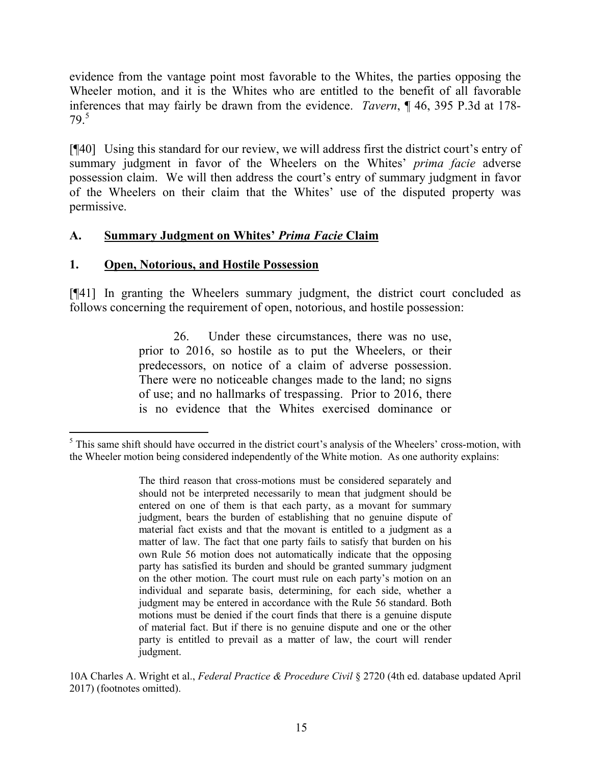evidence from the vantage point most favorable to the Whites, the parties opposing the Wheeler motion, and it is the Whites who are entitled to the benefit of all favorable inferences that may fairly be drawn from the evidence. *Tavern*, ¶ 46, 395 P.3d at 178- 79.<sup>5</sup>

[¶40] Using this standard for our review, we will address first the district court's entry of summary judgment in favor of the Wheelers on the Whites' *prima facie* adverse possession claim. We will then address the court's entry of summary judgment in favor of the Wheelers on their claim that the Whites' use of the disputed property was permissive.

## **A. Summary Judgment on Whites'** *Prima Facie* **Claim**

## **1. Open, Notorious, and Hostile Possession**

 $\overline{a}$ 

[¶41] In granting the Wheelers summary judgment, the district court concluded as follows concerning the requirement of open, notorious, and hostile possession:

> 26. Under these circumstances, there was no use, prior to 2016, so hostile as to put the Wheelers, or their predecessors, on notice of a claim of adverse possession. There were no noticeable changes made to the land; no signs of use; and no hallmarks of trespassing. Prior to 2016, there is no evidence that the Whites exercised dominance or

<sup>&</sup>lt;sup>5</sup> This same shift should have occurred in the district court's analysis of the Wheelers' cross-motion, with the Wheeler motion being considered independently of the White motion. As one authority explains:

The third reason that cross-motions must be considered separately and should not be interpreted necessarily to mean that judgment should be entered on one of them is that each party, as a movant for summary judgment, bears the burden of establishing that no genuine dispute of material fact exists and that the movant is entitled to a judgment as a matter of law. The fact that one party fails to satisfy that burden on his own Rule 56 motion does not automatically indicate that the opposing party has satisfied its burden and should be granted summary judgment on the other motion. The court must rule on each party's motion on an individual and separate basis, determining, for each side, whether a judgment may be entered in accordance with the Rule 56 standard. Both motions must be denied if the court finds that there is a genuine dispute of material fact. But if there is no genuine dispute and one or the other party is entitled to prevail as a matter of law, the court will render judgment.

<sup>10</sup>A Charles A. Wright et al., *Federal Practice & Procedure Civil* § 2720 (4th ed. database updated April 2017) (footnotes omitted).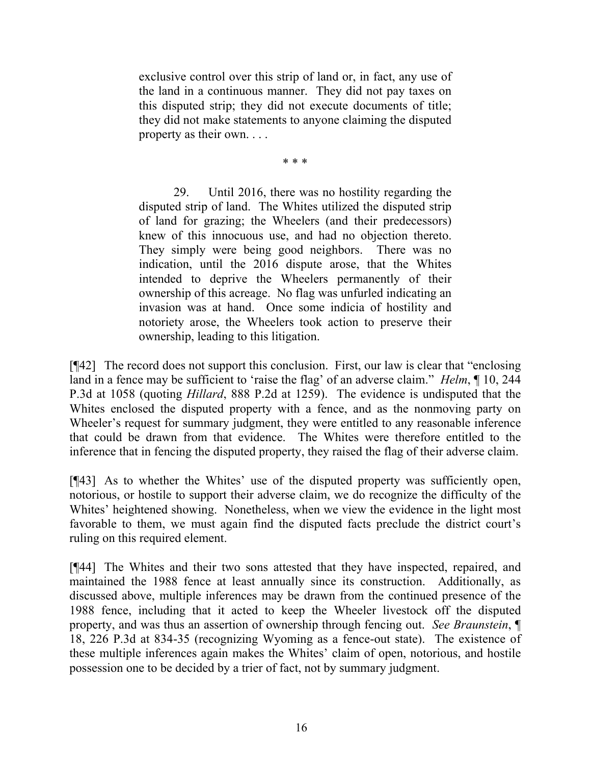exclusive control over this strip of land or, in fact, any use of the land in a continuous manner. They did not pay taxes on this disputed strip; they did not execute documents of title; they did not make statements to anyone claiming the disputed property as their own. . . .

\* \* \*

29. Until 2016, there was no hostility regarding the disputed strip of land. The Whites utilized the disputed strip of land for grazing; the Wheelers (and their predecessors) knew of this innocuous use, and had no objection thereto. They simply were being good neighbors. There was no indication, until the 2016 dispute arose, that the Whites intended to deprive the Wheelers permanently of their ownership of this acreage. No flag was unfurled indicating an invasion was at hand. Once some indicia of hostility and notoriety arose, the Wheelers took action to preserve their ownership, leading to this litigation.

[¶42] The record does not support this conclusion. First, our law is clear that "enclosing land in a fence may be sufficient to 'raise the flag' of an adverse claim." *Helm*, ¶ 10, 244 P.3d at 1058 (quoting *Hillard*, 888 P.2d at 1259). The evidence is undisputed that the Whites enclosed the disputed property with a fence, and as the nonmoving party on Wheeler's request for summary judgment, they were entitled to any reasonable inference that could be drawn from that evidence. The Whites were therefore entitled to the inference that in fencing the disputed property, they raised the flag of their adverse claim.

[¶43] As to whether the Whites' use of the disputed property was sufficiently open, notorious, or hostile to support their adverse claim, we do recognize the difficulty of the Whites' heightened showing. Nonetheless, when we view the evidence in the light most favorable to them, we must again find the disputed facts preclude the district court's ruling on this required element.

[¶44] The Whites and their two sons attested that they have inspected, repaired, and maintained the 1988 fence at least annually since its construction. Additionally, as discussed above, multiple inferences may be drawn from the continued presence of the 1988 fence, including that it acted to keep the Wheeler livestock off the disputed property, and was thus an assertion of ownership through fencing out. *See Braunstein*, ¶ 18, 226 P.3d at 834-35 (recognizing Wyoming as a fence-out state). The existence of these multiple inferences again makes the Whites' claim of open, notorious, and hostile possession one to be decided by a trier of fact, not by summary judgment.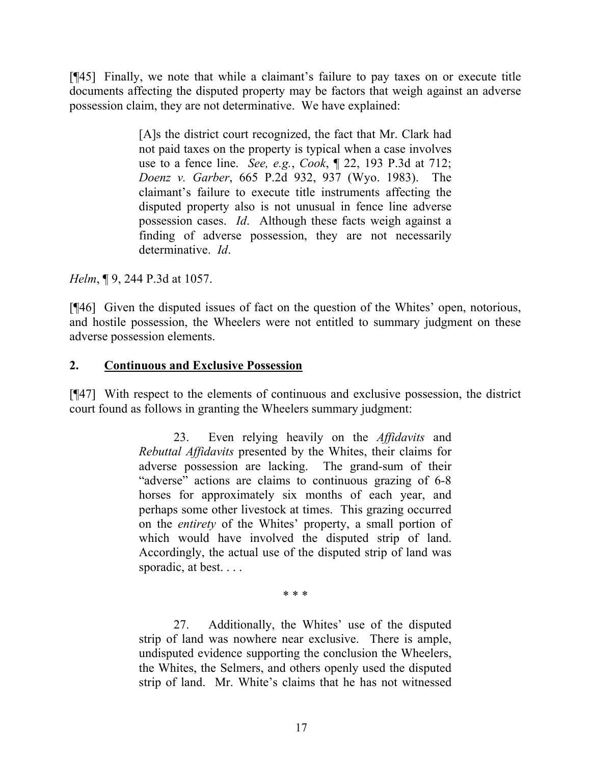[¶45] Finally, we note that while a claimant's failure to pay taxes on or execute title documents affecting the disputed property may be factors that weigh against an adverse possession claim, they are not determinative. We have explained:

> [A]s the district court recognized, the fact that Mr. Clark had not paid taxes on the property is typical when a case involves use to a fence line. *See, e.g.*, *Cook*, ¶ 22, 193 P.3d at 712; *Doenz v. Garber*, 665 P.2d 932, 937 (Wyo. 1983). The claimant's failure to execute title instruments affecting the disputed property also is not unusual in fence line adverse possession cases. *Id*. Although these facts weigh against a finding of adverse possession, they are not necessarily determinative. *Id*.

*Helm*, ¶ 9, 244 P.3d at 1057.

[¶46] Given the disputed issues of fact on the question of the Whites' open, notorious, and hostile possession, the Wheelers were not entitled to summary judgment on these adverse possession elements.

## **2. Continuous and Exclusive Possession**

[¶47] With respect to the elements of continuous and exclusive possession, the district court found as follows in granting the Wheelers summary judgment:

> 23. Even relying heavily on the *Affidavits* and *Rebuttal Affidavits* presented by the Whites, their claims for adverse possession are lacking. The grand-sum of their "adverse" actions are claims to continuous grazing of 6-8 horses for approximately six months of each year, and perhaps some other livestock at times. This grazing occurred on the *entirety* of the Whites' property, a small portion of which would have involved the disputed strip of land. Accordingly, the actual use of the disputed strip of land was sporadic, at best. . . .

> > \* \* \*

27. Additionally, the Whites' use of the disputed strip of land was nowhere near exclusive. There is ample, undisputed evidence supporting the conclusion the Wheelers, the Whites, the Selmers, and others openly used the disputed strip of land. Mr. White's claims that he has not witnessed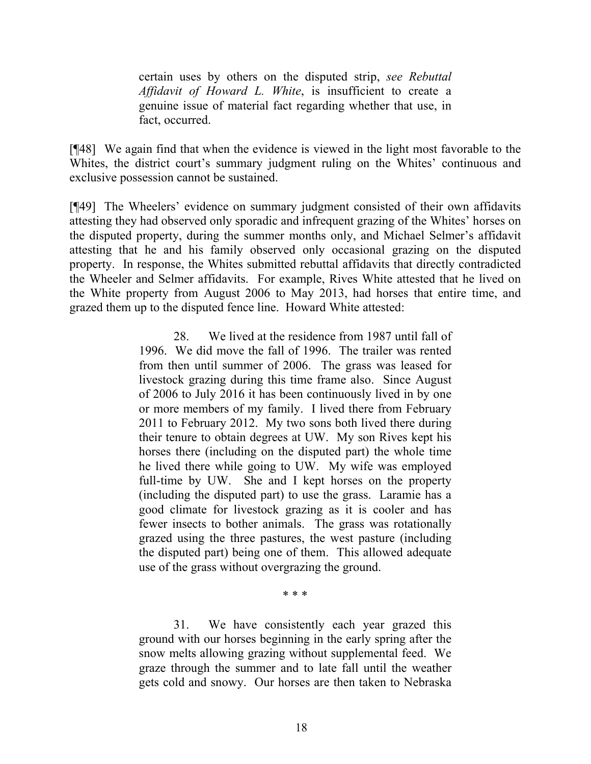certain uses by others on the disputed strip, *see Rebuttal Affidavit of Howard L. White*, is insufficient to create a genuine issue of material fact regarding whether that use, in fact, occurred.

[¶48] We again find that when the evidence is viewed in the light most favorable to the Whites, the district court's summary judgment ruling on the Whites' continuous and exclusive possession cannot be sustained.

[¶49] The Wheelers' evidence on summary judgment consisted of their own affidavits attesting they had observed only sporadic and infrequent grazing of the Whites' horses on the disputed property, during the summer months only, and Michael Selmer's affidavit attesting that he and his family observed only occasional grazing on the disputed property. In response, the Whites submitted rebuttal affidavits that directly contradicted the Wheeler and Selmer affidavits. For example, Rives White attested that he lived on the White property from August 2006 to May 2013, had horses that entire time, and grazed them up to the disputed fence line. Howard White attested:

> 28. We lived at the residence from 1987 until fall of 1996. We did move the fall of 1996. The trailer was rented from then until summer of 2006. The grass was leased for livestock grazing during this time frame also. Since August of 2006 to July 2016 it has been continuously lived in by one or more members of my family. I lived there from February 2011 to February 2012. My two sons both lived there during their tenure to obtain degrees at UW. My son Rives kept his horses there (including on the disputed part) the whole time he lived there while going to UW. My wife was employed full-time by UW. She and I kept horses on the property (including the disputed part) to use the grass. Laramie has a good climate for livestock grazing as it is cooler and has fewer insects to bother animals. The grass was rotationally grazed using the three pastures, the west pasture (including the disputed part) being one of them. This allowed adequate use of the grass without overgrazing the ground.

> > \* \* \*

31. We have consistently each year grazed this ground with our horses beginning in the early spring after the snow melts allowing grazing without supplemental feed. We graze through the summer and to late fall until the weather gets cold and snowy. Our horses are then taken to Nebraska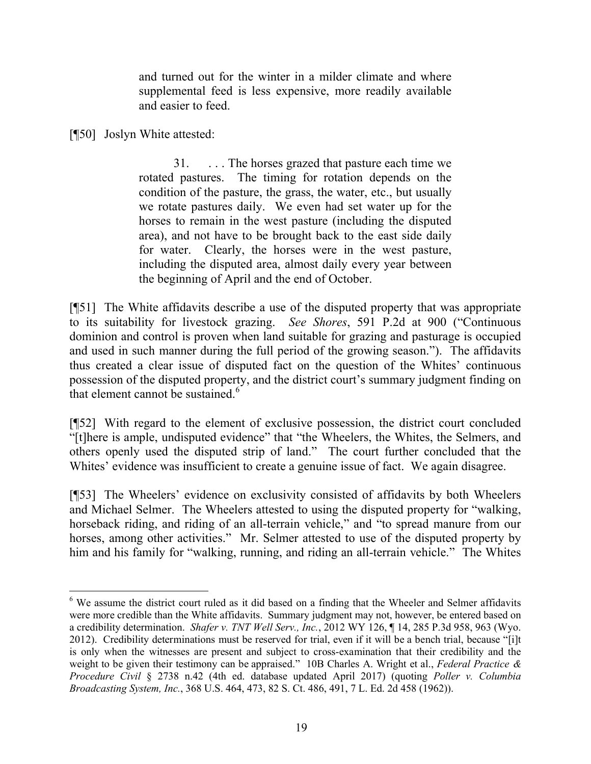and turned out for the winter in a milder climate and where supplemental feed is less expensive, more readily available and easier to feed.

[¶50] Joslyn White attested:

l

31. . . . The horses grazed that pasture each time we rotated pastures. The timing for rotation depends on the condition of the pasture, the grass, the water, etc., but usually we rotate pastures daily. We even had set water up for the horses to remain in the west pasture (including the disputed area), and not have to be brought back to the east side daily for water. Clearly, the horses were in the west pasture, including the disputed area, almost daily every year between the beginning of April and the end of October.

[¶51] The White affidavits describe a use of the disputed property that was appropriate to its suitability for livestock grazing. *See Shores*, 591 P.2d at 900 ("Continuous dominion and control is proven when land suitable for grazing and pasturage is occupied and used in such manner during the full period of the growing season."). The affidavits thus created a clear issue of disputed fact on the question of the Whites' continuous possession of the disputed property, and the district court's summary judgment finding on that element cannot be sustained. $6$ 

[¶52] With regard to the element of exclusive possession, the district court concluded "[t]here is ample, undisputed evidence" that "the Wheelers, the Whites, the Selmers, and others openly used the disputed strip of land." The court further concluded that the Whites' evidence was insufficient to create a genuine issue of fact. We again disagree.

[¶53] The Wheelers' evidence on exclusivity consisted of affidavits by both Wheelers and Michael Selmer. The Wheelers attested to using the disputed property for "walking, horseback riding, and riding of an all-terrain vehicle," and "to spread manure from our horses, among other activities." Mr. Selmer attested to use of the disputed property by him and his family for "walking, running, and riding an all-terrain vehicle." The Whites

<sup>&</sup>lt;sup>6</sup> We assume the district court ruled as it did based on a finding that the Wheeler and Selmer affidavits were more credible than the White affidavits. Summary judgment may not, however, be entered based on a credibility determination. *Shafer v. TNT Well Serv., Inc.*, 2012 WY 126, ¶ 14, 285 P.3d 958, 963 (Wyo. 2012). Credibility determinations must be reserved for trial, even if it will be a bench trial, because "[i]t is only when the witnesses are present and subject to cross-examination that their credibility and the weight to be given their testimony can be appraised." 10B Charles A. Wright et al., *Federal Practice & Procedure Civil* § 2738 n.42 (4th ed. database updated April 2017) (quoting *Poller v. Columbia Broadcasting System, Inc.*, 368 U.S. 464, 473, 82 S. Ct. 486, 491, 7 L. Ed. 2d 458 (1962)).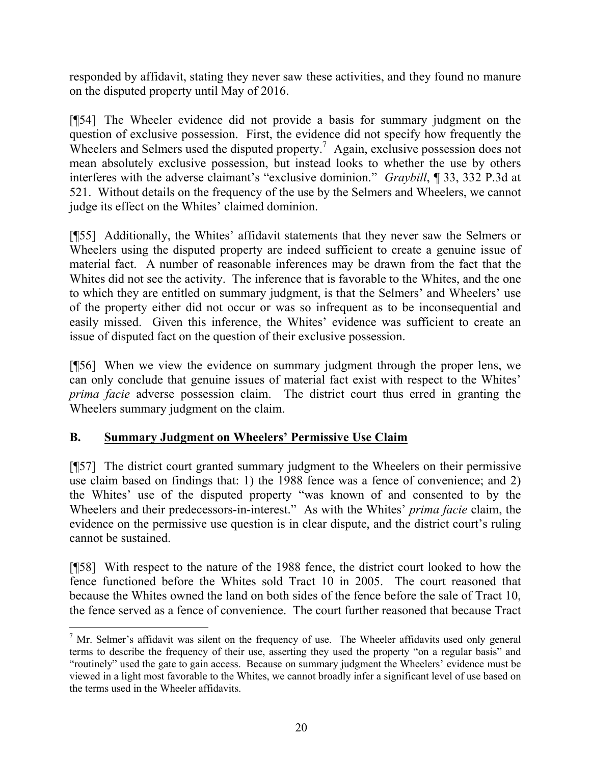responded by affidavit, stating they never saw these activities, and they found no manure on the disputed property until May of 2016.

[¶54] The Wheeler evidence did not provide a basis for summary judgment on the question of exclusive possession. First, the evidence did not specify how frequently the Wheelers and Selmers used the disputed property.<sup>7</sup> Again, exclusive possession does not mean absolutely exclusive possession, but instead looks to whether the use by others interferes with the adverse claimant's "exclusive dominion." *Graybill*, ¶ 33, 332 P.3d at 521. Without details on the frequency of the use by the Selmers and Wheelers, we cannot judge its effect on the Whites' claimed dominion.

[¶55] Additionally, the Whites' affidavit statements that they never saw the Selmers or Wheelers using the disputed property are indeed sufficient to create a genuine issue of material fact. A number of reasonable inferences may be drawn from the fact that the Whites did not see the activity. The inference that is favorable to the Whites, and the one to which they are entitled on summary judgment, is that the Selmers' and Wheelers' use of the property either did not occur or was so infrequent as to be inconsequential and easily missed. Given this inference, the Whites' evidence was sufficient to create an issue of disputed fact on the question of their exclusive possession.

[¶56] When we view the evidence on summary judgment through the proper lens, we can only conclude that genuine issues of material fact exist with respect to the Whites' *prima facie* adverse possession claim. The district court thus erred in granting the Wheelers summary judgment on the claim.

# **B. Summary Judgment on Wheelers' Permissive Use Claim**

[¶57] The district court granted summary judgment to the Wheelers on their permissive use claim based on findings that: 1) the 1988 fence was a fence of convenience; and 2) the Whites' use of the disputed property "was known of and consented to by the Wheelers and their predecessors-in-interest." As with the Whites' *prima facie* claim, the evidence on the permissive use question is in clear dispute, and the district court's ruling cannot be sustained.

[¶58] With respect to the nature of the 1988 fence, the district court looked to how the fence functioned before the Whites sold Tract 10 in 2005. The court reasoned that because the Whites owned the land on both sides of the fence before the sale of Tract 10, the fence served as a fence of convenience. The court further reasoned that because Tract

 $\overline{a}$  $<sup>7</sup>$  Mr. Selmer's affidavit was silent on the frequency of use. The Wheeler affidavits used only general</sup> terms to describe the frequency of their use, asserting they used the property "on a regular basis" and "routinely" used the gate to gain access. Because on summary judgment the Wheelers' evidence must be viewed in a light most favorable to the Whites, we cannot broadly infer a significant level of use based on the terms used in the Wheeler affidavits.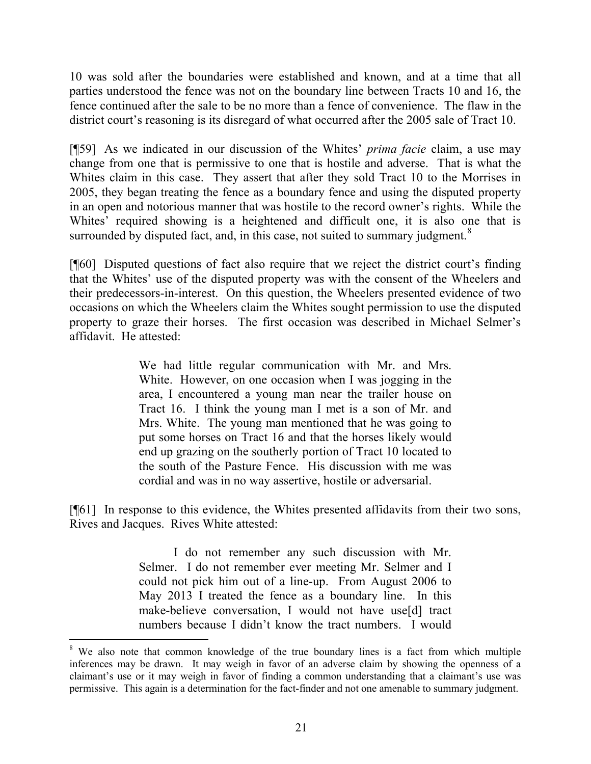10 was sold after the boundaries were established and known, and at a time that all parties understood the fence was not on the boundary line between Tracts 10 and 16, the fence continued after the sale to be no more than a fence of convenience. The flaw in the district court's reasoning is its disregard of what occurred after the 2005 sale of Tract 10.

[¶59] As we indicated in our discussion of the Whites' *prima facie* claim, a use may change from one that is permissive to one that is hostile and adverse. That is what the Whites claim in this case. They assert that after they sold Tract 10 to the Morrises in 2005, they began treating the fence as a boundary fence and using the disputed property in an open and notorious manner that was hostile to the record owner's rights. While the Whites' required showing is a heightened and difficult one, it is also one that is surrounded by disputed fact, and, in this case, not suited to summary judgment.<sup>8</sup>

[¶60] Disputed questions of fact also require that we reject the district court's finding that the Whites' use of the disputed property was with the consent of the Wheelers and their predecessors-in-interest. On this question, the Wheelers presented evidence of two occasions on which the Wheelers claim the Whites sought permission to use the disputed property to graze their horses. The first occasion was described in Michael Selmer's affidavit. He attested:

> We had little regular communication with Mr. and Mrs. White. However, on one occasion when I was jogging in the area, I encountered a young man near the trailer house on Tract 16. I think the young man I met is a son of Mr. and Mrs. White. The young man mentioned that he was going to put some horses on Tract 16 and that the horses likely would end up grazing on the southerly portion of Tract 10 located to the south of the Pasture Fence. His discussion with me was cordial and was in no way assertive, hostile or adversarial.

[¶61] In response to this evidence, the Whites presented affidavits from their two sons, Rives and Jacques. Rives White attested:

> I do not remember any such discussion with Mr. Selmer. I do not remember ever meeting Mr. Selmer and I could not pick him out of a line-up. From August 2006 to May 2013 I treated the fence as a boundary line. In this make-believe conversation, I would not have use[d] tract numbers because I didn't know the tract numbers. I would

l

<sup>&</sup>lt;sup>8</sup> We also note that common knowledge of the true boundary lines is a fact from which multiple inferences may be drawn. It may weigh in favor of an adverse claim by showing the openness of a claimant's use or it may weigh in favor of finding a common understanding that a claimant's use was permissive. This again is a determination for the fact-finder and not one amenable to summary judgment.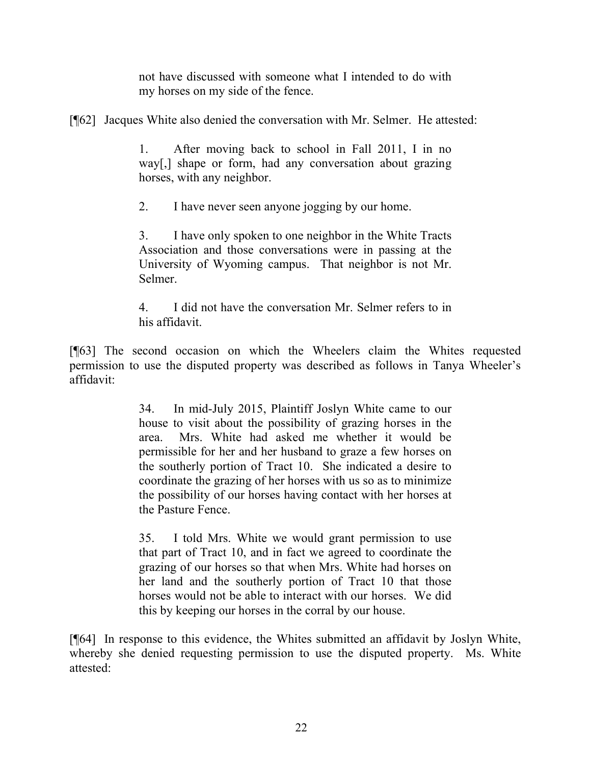not have discussed with someone what I intended to do with my horses on my side of the fence.

[¶62] Jacques White also denied the conversation with Mr. Selmer. He attested:

1. After moving back to school in Fall 2011, I in no way[,] shape or form, had any conversation about grazing horses, with any neighbor.

2. I have never seen anyone jogging by our home.

3. I have only spoken to one neighbor in the White Tracts Association and those conversations were in passing at the University of Wyoming campus. That neighbor is not Mr. Selmer.

4. I did not have the conversation Mr. Selmer refers to in his affidavit.

[¶63] The second occasion on which the Wheelers claim the Whites requested permission to use the disputed property was described as follows in Tanya Wheeler's affidavit:

> 34. In mid-July 2015, Plaintiff Joslyn White came to our house to visit about the possibility of grazing horses in the area. Mrs. White had asked me whether it would be permissible for her and her husband to graze a few horses on the southerly portion of Tract 10. She indicated a desire to coordinate the grazing of her horses with us so as to minimize the possibility of our horses having contact with her horses at the Pasture Fence.

> 35. I told Mrs. White we would grant permission to use that part of Tract 10, and in fact we agreed to coordinate the grazing of our horses so that when Mrs. White had horses on her land and the southerly portion of Tract 10 that those horses would not be able to interact with our horses. We did this by keeping our horses in the corral by our house.

[¶64] In response to this evidence, the Whites submitted an affidavit by Joslyn White, whereby she denied requesting permission to use the disputed property. Ms. White attested: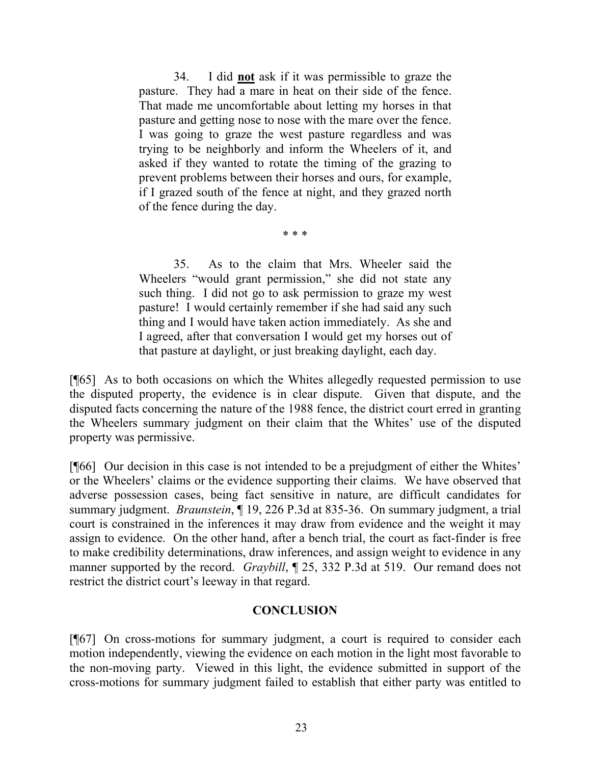34. I did **not** ask if it was permissible to graze the pasture. They had a mare in heat on their side of the fence. That made me uncomfortable about letting my horses in that pasture and getting nose to nose with the mare over the fence. I was going to graze the west pasture regardless and was trying to be neighborly and inform the Wheelers of it, and asked if they wanted to rotate the timing of the grazing to prevent problems between their horses and ours, for example, if I grazed south of the fence at night, and they grazed north of the fence during the day.

\* \* \*

35. As to the claim that Mrs. Wheeler said the Wheelers "would grant permission," she did not state any such thing. I did not go to ask permission to graze my west pasture! I would certainly remember if she had said any such thing and I would have taken action immediately. As she and I agreed, after that conversation I would get my horses out of that pasture at daylight, or just breaking daylight, each day.

[¶65] As to both occasions on which the Whites allegedly requested permission to use the disputed property, the evidence is in clear dispute. Given that dispute, and the disputed facts concerning the nature of the 1988 fence, the district court erred in granting the Wheelers summary judgment on their claim that the Whites' use of the disputed property was permissive.

[¶66] Our decision in this case is not intended to be a prejudgment of either the Whites' or the Wheelers' claims or the evidence supporting their claims. We have observed that adverse possession cases, being fact sensitive in nature, are difficult candidates for summary judgment. *Braunstein*, ¶ 19, 226 P.3d at 835-36. On summary judgment, a trial court is constrained in the inferences it may draw from evidence and the weight it may assign to evidence. On the other hand, after a bench trial, the court as fact-finder is free to make credibility determinations, draw inferences, and assign weight to evidence in any manner supported by the record. *Graybill*, ¶ 25, 332 P.3d at 519. Our remand does not restrict the district court's leeway in that regard.

## **CONCLUSION**

[¶67] On cross-motions for summary judgment, a court is required to consider each motion independently, viewing the evidence on each motion in the light most favorable to the non-moving party. Viewed in this light, the evidence submitted in support of the cross-motions for summary judgment failed to establish that either party was entitled to